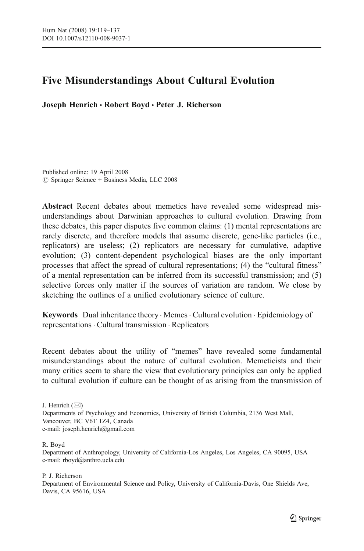# Five Misunderstandings About Cultural Evolution

Joseph Henrich · Robert Boyd · Peter J. Richerson

Published online: 19 April 2008  $\oslash$  Springer Science + Business Media, LLC 2008

Abstract Recent debates about memetics have revealed some widespread misunderstandings about Darwinian approaches to cultural evolution. Drawing from these debates, this paper disputes five common claims: (1) mental representations are rarely discrete, and therefore models that assume discrete, gene-like particles (i.e., replicators) are useless; (2) replicators are necessary for cumulative, adaptive evolution; (3) content-dependent psychological biases are the only important processes that affect the spread of cultural representations; (4) the "cultural fitness" of a mental representation can be inferred from its successful transmission; and (5) selective forces only matter if the sources of variation are random. We close by sketching the outlines of a unified evolutionary science of culture.

Keywords Dual inheritance theory . Memes. Cultural evolution . Epidemiology of representations . Cultural transmission . Replicators

Recent debates about the utility of "memes" have revealed some fundamental misunderstandings about the nature of cultural evolution. Memeticists and their many critics seem to share the view that evolutionary principles can only be applied to cultural evolution if culture can be thought of as arising from the transmission of

J. Henrich  $(\boxtimes)$ 

Departments of Psychology and Economics, University of British Columbia, 2136 West Mall, Vancouver, BC V6T 1Z4, Canada e-mail: joseph.henrich@gmail.com

### R. Boyd

#### P. J. Richerson

Department of Anthropology, University of California-Los Angeles, Los Angeles, CA 90095, USA e-mail: rboyd@anthro.ucla.edu

Department of Environmental Science and Policy, University of California-Davis, One Shields Ave, Davis, CA 95616, USA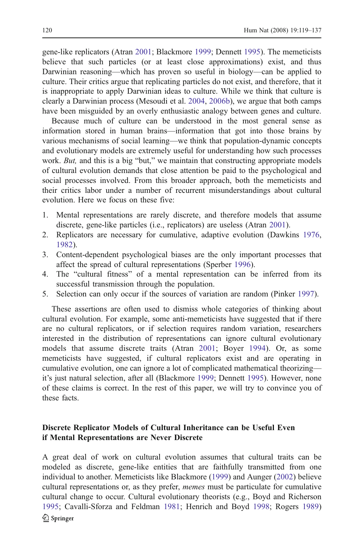gene-like replicators (Atran [2001](#page-15-0); Blackmore [1999](#page-15-0); Dennett [1995\)](#page-16-0). The memeticists believe that such particles (or at least close approximations) exist, and thus Darwinian reasoning—which has proven so useful in biology—can be applied to culture. Their critics argue that replicating particles do not exist, and therefore, that it is inappropriate to apply Darwinian ideas to culture. While we think that culture is clearly a Darwinian process (Mesoudi et al. [2004](#page-17-0), [2006b\)](#page-17-0), we argue that both camps have been misguided by an overly enthusiastic analogy between genes and culture.

Because much of culture can be understood in the most general sense as information stored in human brains—information that got into those brains by various mechanisms of social learning—we think that population-dynamic concepts and evolutionary models are extremely useful for understanding how such processes work. But, and this is a big "but," we maintain that constructing appropriate models of cultural evolution demands that close attention be paid to the psychological and social processes involved. From this broader approach, both the memeticists and their critics labor under a number of recurrent misunderstandings about cultural evolution. Here we focus on these five:

- 1. Mental representations are rarely discrete, and therefore models that assume discrete, gene-like particles (i.e., replicators) are useless (Atran [2001](#page-15-0)).
- 2. Replicators are necessary for cumulative, adaptive evolution (Dawkins [1976,](#page-16-0) [1982\)](#page-16-0).
- 3. Content-dependent psychological biases are the only important processes that affect the spread of cultural representations (Sperber [1996\)](#page-17-0).
- 4. The "cultural fitness" of a mental representation can be inferred from its successful transmission through the population.
- 5. Selection can only occur if the sources of variation are random (Pinker [1997\)](#page-17-0).

These assertions are often used to dismiss whole categories of thinking about cultural evolution. For example, some anti-memeticists have suggested that if there are no cultural replicators, or if selection requires random variation, researchers interested in the distribution of representations can ignore cultural evolutionary models that assume discrete traits (Atran [2001;](#page-15-0) Boyer [1994](#page-15-0)). Or, as some memeticists have suggested, if cultural replicators exist and are operating in cumulative evolution, one can ignore a lot of complicated mathematical theorizing it's just natural selection, after all (Blackmore [1999](#page-15-0); Dennett [1995\)](#page-16-0). However, none of these claims is correct. In the rest of this paper, we will try to convince you of these facts.

### Discrete Replicator Models of Cultural Inheritance can be Useful Even if Mental Representations are Never Discrete

A great deal of work on cultural evolution assumes that cultural traits can be modeled as discrete, gene-like entities that are faithfully transmitted from one individual to another. Memeticists like Blackmore ([1999\)](#page-15-0) and Aunger [\(2002\)](#page-15-0) believe cultural representations or, as they prefer, *memes* must be particulate for cumulative cultural change to occur. Cultural evolutionary theorists (e.g., Boyd and Richerson [1995;](#page-15-0) Cavalli-Sforza and Feldman [1981;](#page-16-0) Henrich and Boyd [1998;](#page-16-0) Rogers [1989](#page-17-0)) 2 Springer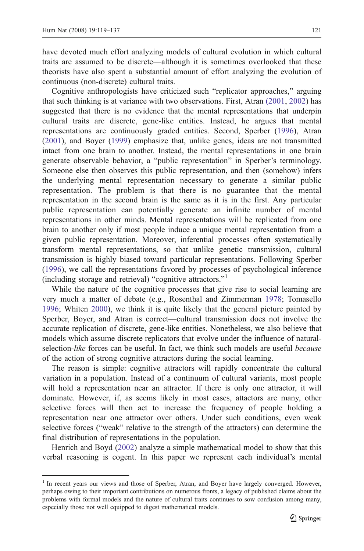have devoted much effort analyzing models of cultural evolution in which cultural traits are assumed to be discrete—although it is sometimes overlooked that these theorists have also spent a substantial amount of effort analyzing the evolution of continuous (non-discrete) cultural traits.

Cognitive anthropologists have criticized such "replicator approaches," arguing that such thinking is at variance with two observations. First, Atran [\(2001](#page-15-0), [2002](#page-15-0)) has suggested that there is no evidence that the mental representations that underpin cultural traits are discrete, gene-like entities. Instead, he argues that mental representations are continuously graded entities. Second, Sperber ([1996\)](#page-17-0), Atran [\(2001](#page-15-0)), and Boyer [\(1999](#page-15-0)) emphasize that, unlike genes, ideas are not transmitted intact from one brain to another. Instead, the mental representations in one brain generate observable behavior, a "public representation" in Sperber's terminology. Someone else then observes this public representation, and then (somehow) infers the underlying mental representation necessary to generate a similar public representation. The problem is that there is no guarantee that the mental representation in the second brain is the same as it is in the first. Any particular public representation can potentially generate an infinite number of mental representations in other minds. Mental representations will be replicated from one brain to another only if most people induce a unique mental representation from a given public representation. Moreover, inferential processes often systematically transform mental representations, so that unlike genetic transmission, cultural transmission is highly biased toward particular representations. Following Sperber [\(1996](#page-17-0)), we call the representations favored by processes of psychological inference (including storage and retrieval) "cognitive attractors."<sup>1</sup>

While the nature of the cognitive processes that give rise to social learning are very much a matter of debate (e.g., Rosenthal and Zimmerman [1978](#page-17-0); Tomasello [1996;](#page-17-0) Whiten [2000](#page-17-0)), we think it is quite likely that the general picture painted by Sperber, Boyer, and Atran is correct—cultural transmission does not involve the accurate replication of discrete, gene-like entities. Nonetheless, we also believe that models which assume discrete replicators that evolve under the influence of naturalselection-like forces can be useful. In fact, we think such models are useful because of the action of strong cognitive attractors during the social learning.

The reason is simple: cognitive attractors will rapidly concentrate the cultural variation in a population. Instead of a continuum of cultural variants, most people will hold a representation near an attractor. If there is only one attractor, it will dominate. However, if, as seems likely in most cases, attactors are many, other selective forces will then act to increase the frequency of people holding a representation near one attractor over others. Under such conditions, even weak selective forces ("weak" relative to the strength of the attractors) can determine the final distribution of representations in the population.

Henrich and Boyd [\(2002](#page-16-0)) analyze a simple mathematical model to show that this verbal reasoning is cogent. In this paper we represent each individual's mental

<sup>1</sup> In recent years our views and those of Sperber, Atran, and Boyer have largely converged. However, perhaps owing to their important contributions on numerous fronts, a legacy of published claims about the problems with formal models and the nature of cultural traits continues to sow confusion among many, especially those not well equipped to digest mathematical models.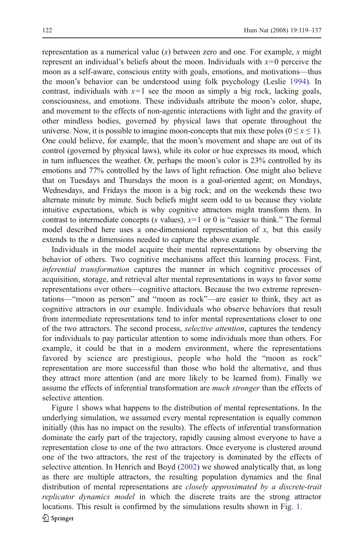representation as a numerical value  $(x)$  between zero and one. For example, x might represent an individual's beliefs about the moon. Individuals with  $x=0$  perceive the moon as a self-aware, conscious entity with goals, emotions, and motivations—thus the moon's behavior can be understood using folk psychology (Leslie [1994\)](#page-16-0). In contrast, individuals with  $x=1$  see the moon as simply a big rock, lacking goals, consciousness, and emotions. These individuals attribute the moon's color, shape, and movement to the effects of non-agentic interactions with light and the gravity of other mindless bodies, governed by physical laws that operate throughout the universe. Now, it is possible to imagine moon-concepts that mix these poles ( $0 \le x \le 1$ ). One could believe, for example, that the moon's movement and shape are out of its control (governed by physical laws), while its color or hue expresses its mood, which in turn influences the weather. Or, perhaps the moon's color is 23% controlled by its emotions and 77% controlled by the laws of light refraction. One might also believe that on Tuesdays and Thursdays the moon is a goal-oriented agent; on Mondays, Wednesdays, and Fridays the moon is a big rock; and on the weekends these two alternate minute by minute. Such beliefs might seem odd to us because they violate intuitive expectations, which is why cognitive attractors might transform them. In contrast to intermediate concepts (x values),  $x=1$  or 0 is "easier to think." The formal model described here uses a one-dimensional representation of  $x$ , but this easily extends to the *n* dimensions needed to capture the above example.

Individuals in the model acquire their mental representations by observing the behavior of others. Two cognitive mechanisms affect this learning process. First, inferential transformation captures the manner in which cognitive processes of acquisition, storage, and retrieval alter mental representations in ways to favor some representations over others—cognitive attactors. Because the two extreme representations—"moon as person" and "moon as rock"—are easier to think, they act as cognitive attractors in our example. Individuals who observe behaviors that result from intermediate representations tend to infer mental representations closer to one of the two attractors. The second process, selective attention, captures the tendency for individuals to pay particular attention to some individuals more than others. For example, it could be that in a modern environment, where the representations favored by science are prestigious, people who hold the "moon as rock" representation are more successful than those who hold the alternative, and thus they attract more attention (and are more likely to be learned from). Finally we assume the effects of inferential transformation are *much stronger* than the effects of selective attention.

Figure [1](#page-4-0) shows what happens to the distribution of mental representations. In the underlying simulation, we assumed every mental representation is equally common initially (this has no impact on the results). The effects of inferential transformation dominate the early part of the trajectory, rapidly causing almost everyone to have a representation close to one of the two attractors. Once everyone is clustered around one of the two attractors, the rest of the trajectory is dominated by the effects of selective attention. In Henrich and Boyd ([2002\)](#page-16-0) we showed analytically that, as long as there are multiple attractors, the resulting population dynamics and the final distribution of mental representations are *closely approximated by a discrete-trait* replicator dynamics model in which the discrete traits are the strong attractor locations. This result is confirmed by the simulations results shown in Fig. [1.](#page-4-0) 2 Springer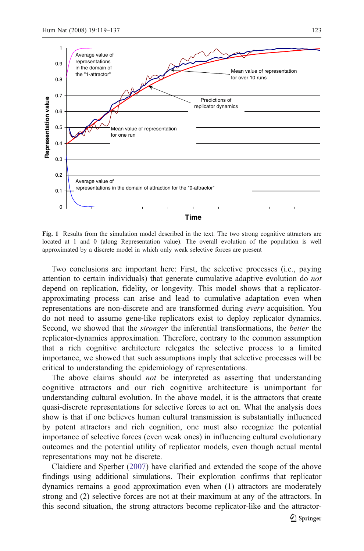<span id="page-4-0"></span>

Fig. 1 Results from the simulation model described in the text. The two strong cognitive attractors are located at 1 and 0 (along Representation value). The overall evolution of the population is well approximated by a discrete model in which only weak selective forces are present

Two conclusions are important here: First, the selective processes (i.e., paying attention to certain individuals) that generate cumulative adaptive evolution do not depend on replication, fidelity, or longevity. This model shows that a replicatorapproximating process can arise and lead to cumulative adaptation even when representations are non-discrete and are transformed during every acquisition. You do not need to assume gene-like replicators exist to deploy replicator dynamics. Second, we showed that the stronger the inferential transformations, the better the replicator-dynamics approximation. Therefore, contrary to the common assumption that a rich cognitive architecture relegates the selective process to a limited importance, we showed that such assumptions imply that selective processes will be critical to understanding the epidemiology of representations.

The above claims should *not* be interpreted as asserting that understanding cognitive attractors and our rich cognitive architecture is unimportant for understanding cultural evolution. In the above model, it is the attractors that create quasi-discrete representations for selective forces to act on. What the analysis does show is that if one believes human cultural transmission is substantially influenced by potent attractors and rich cognition, one must also recognize the potential importance of selective forces (even weak ones) in influencing cultural evolutionary outcomes and the potential utility of replicator models, even though actual mental representations may not be discrete.

Claidiere and Sperber [\(2007](#page-16-0)) have clarified and extended the scope of the above findings using additional simulations. Their exploration confirms that replicator dynamics remains a good approximation even when (1) attractors are moderately strong and (2) selective forces are not at their maximum at any of the attractors. In this second situation, the strong attractors become replicator-like and the attractor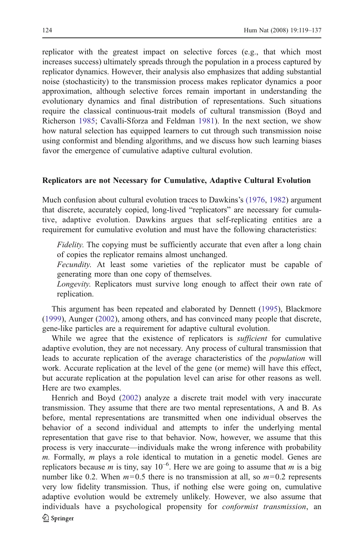replicator with the greatest impact on selective forces (e.g., that which most increases success) ultimately spreads through the population in a process captured by replicator dynamics. However, their analysis also emphasizes that adding substantial noise (stochasticity) to the transmission process makes replicator dynamics a poor approximation, although selective forces remain important in understanding the evolutionary dynamics and final distribution of representations. Such situations require the classical continuous-trait models of cultural transmission (Boyd and Richerson [1985;](#page-15-0) Cavalli-Sforza and Feldman [1981](#page-16-0)). In the next section, we show how natural selection has equipped learners to cut through such transmission noise using conformist and blending algorithms, and we discuss how such learning biases favor the emergence of cumulative adaptive cultural evolution.

### Replicators are not Necessary for Cumulative, Adaptive Cultural Evolution

Much confusion about cultural evolution traces to Dawkins's [\(1976](#page-16-0), [1982](#page-16-0)) argument that discrete, accurately copied, long-lived "replicators" are necessary for cumulative, adaptive evolution. Dawkins argues that self-replicating entities are a requirement for cumulative evolution and must have the following characteristics:

Fidelity. The copying must be sufficiently accurate that even after a long chain of copies the replicator remains almost unchanged.

Fecundity. At least some varieties of the replicator must be capable of generating more than one copy of themselves.

Longevity. Replicators must survive long enough to affect their own rate of replication.

This argument has been repeated and elaborated by Dennett ([1995\)](#page-16-0), Blackmore [\(1999](#page-15-0)), Aunger ([2002\)](#page-15-0), among others, and has convinced many people that discrete, gene-like particles are a requirement for adaptive cultural evolution.

While we agree that the existence of replicators is *sufficient* for cumulative adaptive evolution, they are not necessary. Any process of cultural transmission that leads to accurate replication of the average characteristics of the population will work. Accurate replication at the level of the gene (or meme) will have this effect, but accurate replication at the population level can arise for other reasons as well. Here are two examples.

Henrich and Boyd [\(2002](#page-16-0)) analyze a discrete trait model with very inaccurate transmission. They assume that there are two mental representations, A and B. As before, mental representations are transmitted when one individual observes the behavior of a second individual and attempts to infer the underlying mental representation that gave rise to that behavior. Now, however, we assume that this process is very inaccurate—individuals make the wrong inference with probability  $m$ . Formally,  $m$  plays a role identical to mutation in a genetic model. Genes are replicators because m is tiny, say  $10^{-6}$ . Here we are going to assume that m is a big number like 0.2. When  $m=0.5$  there is no transmission at all, so  $m=0.2$  represents very low fidelity transmission. Thus, if nothing else were going on, cumulative adaptive evolution would be extremely unlikely. However, we also assume that individuals have a psychological propensity for *conformist transmission*, an 2 Springer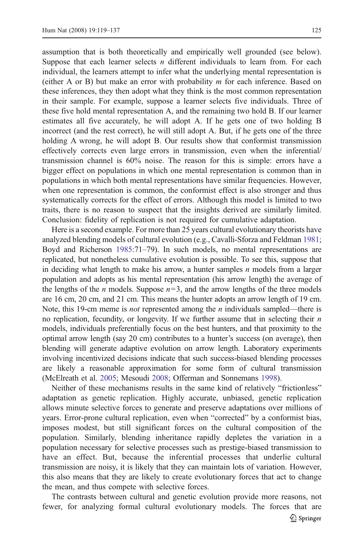assumption that is both theoretically and empirically well grounded (see below). Suppose that each learner selects  $n$  different individuals to learn from. For each individual, the learners attempt to infer what the underlying mental representation is (either A or B) but make an error with probability  $m$  for each inference. Based on these inferences, they then adopt what they think is the most common representation in their sample. For example, suppose a learner selects five individuals. Three of these five hold mental representation A, and the remaining two hold B. If our learner estimates all five accurately, he will adopt A. If he gets one of two holding B incorrect (and the rest correct), he will still adopt A. But, if he gets one of the three holding A wrong, he will adopt B. Our results show that conformist transmission effectively corrects even large errors in transmission, even when the inferential/ transmission channel is 60% noise. The reason for this is simple: errors have a bigger effect on populations in which one mental representation is common than in populations in which both mental representations have similar frequencies. However, when one representation is common, the conformist effect is also stronger and thus systematically corrects for the effect of errors. Although this model is limited to two traits, there is no reason to suspect that the insights derived are similarly limited. Conclusion: fidelity of replication is not required for cumulative adaptation.

Here is a second example. For more than 25 years cultural evolutionary theorists have analyzed blending models of cultural evolution (e.g., Cavalli-Sforza and Feldman [1981;](#page-16-0) Boyd and Richerson [1985:](#page-15-0)71–79). In such models, no mental representations are replicated, but nonetheless cumulative evolution is possible. To see this, suppose that in deciding what length to make his arrow, a hunter samples  $n$  models from a larger population and adopts as his mental representation (his arrow length) the average of the lengths of the *n* models. Suppose  $n=3$ , and the arrow lengths of the three models are 16 cm, 20 cm, and 21 cm. This means the hunter adopts an arrow length of 19 cm. Note, this 19-cm meme is *not* represented among the *n* individuals sampled—there is no replication, fecundity, or longevity. If we further assume that in selecting their  $n$ models, individuals preferentially focus on the best hunters, and that proximity to the optimal arrow length (say 20 cm) contributes to a hunter's success (on average), then blending will generate adaptive evolution on arrow length. Laboratory experiments involving incentivized decisions indicate that such success-biased blending processes are likely a reasonable approximation for some form of cultural transmission (McElreath et al. [2005](#page-17-0); Mesoudi [2008](#page-17-0); Offerman and Sonnemans [1998\)](#page-17-0).

Neither of these mechanisms results in the same kind of relatively "frictionless" adaptation as genetic replication. Highly accurate, unbiased, genetic replication allows minute selective forces to generate and preserve adaptations over millions of years. Error-prone cultural replication, even when "corrected" by a conformist bias, imposes modest, but still significant forces on the cultural composition of the population. Similarly, blending inheritance rapidly depletes the variation in a population necessary for selective processes such as prestige-biased transmission to have an effect. But, because the inferential processes that underlie cultural transmission are noisy, it is likely that they can maintain lots of variation. However, this also means that they are likely to create evolutionary forces that act to change the mean, and thus compete with selective forces.

The contrasts between cultural and genetic evolution provide more reasons, not fewer, for analyzing formal cultural evolutionary models. The forces that are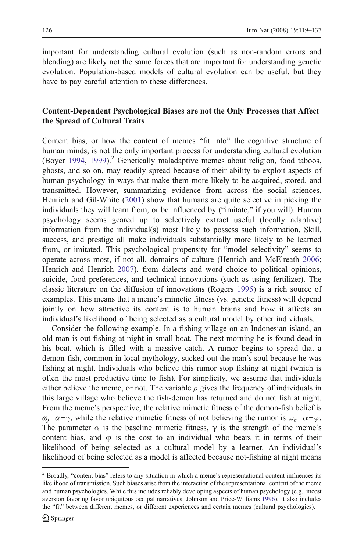important for understanding cultural evolution (such as non-random errors and blending) are likely not the same forces that are important for understanding genetic evolution. Population-based models of cultural evolution can be useful, but they have to pay careful attention to these differences.

## Content-Dependent Psychological Biases are not the Only Processes that Affect the Spread of Cultural Traits

Content bias, or how the content of memes "fit into" the cognitive structure of human minds, is not the only important process for understanding cultural evolution (Bover [1994](#page-15-0), [1999\)](#page-15-0).<sup>2</sup> Genetically maladaptive memes about religion, food taboos, ghosts, and so on, may readily spread because of their ability to exploit aspects of human psychology in ways that make them more likely to be acquired, stored, and transmitted. However, summarizing evidence from across the social sciences, Henrich and Gil-White ([2001\)](#page-16-0) show that humans are quite selective in picking the individuals they will learn from, or be influenced by ("imitate," if you will). Human psychology seems geared up to selectively extract useful (locally adaptive) information from the individual(s) most likely to possess such information. Skill, success, and prestige all make individuals substantially more likely to be learned from, or imitated. This psychological propensity for "model selectivity" seems to operate across most, if not all, domains of culture (Henrich and McElreath [2006;](#page-16-0) Henrich and Henrich [2007\)](#page-16-0), from dialects and word choice to political opinions, suicide, food preferences, and technical innovations (such as using fertilizer). The classic literature on the diffusion of innovations (Rogers [1995](#page-17-0)) is a rich source of examples. This means that a meme's mimetic fitness (vs. genetic fitness) will depend jointly on how attractive its content is to human brains and how it affects an individual's likelihood of being selected as a cultural model by other individuals.

Consider the following example. In a fishing village on an Indonesian island, an old man is out fishing at night in small boat. The next morning he is found dead in his boat, which is filled with a massive catch. A rumor begins to spread that a demon-fish, common in local mythology, sucked out the man's soul because he was fishing at night. Individuals who believe this rumor stop fishing at night (which is often the most productive time to fish). For simplicity, we assume that individuals either believe the meme, or not. The variable  $p$  gives the frequency of individuals in this large village who believe the fish-demon has returned and do not fish at night. From the meme's perspective, the relative mimetic fitness of the demon-fish belief is  $\omega_f = \alpha + \gamma$ , while the relative mimetic fitness of not believing the rumor is  $\omega_n = \alpha + \varphi$ . The parameter  $\alpha$  is the baseline mimetic fitness,  $\gamma$  is the strength of the meme's content bias, and  $\varphi$  is the cost to an individual who bears it in terms of their likelihood of being selected as a cultural model by a learner. An individual's likelihood of being selected as a model is affected because not-fishing at night means

 $2$  Broadly, "content bias" refers to any situation in which a meme's representational content influences its likelihood of transmission. Such biases arise from the interaction of the representational content of the meme and human psychologies. While this includes reliably developing aspects of human psychology (e.g., incest aversion favoring favor ubiquitous oedipal narratives; Johnson and Price-Williams [1996](#page-16-0)), it also includes the "fit" between different memes, or different experiences and certain memes (cultural psychologies).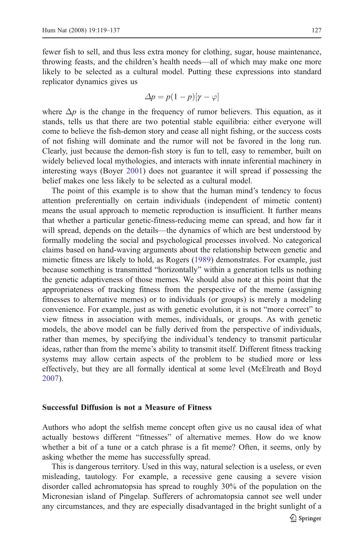fewer fish to sell, and thus less extra money for clothing, sugar, house maintenance, throwing feasts, and the children's health needs—all of which may make one more likely to be selected as a cultural model. Putting these expressions into standard replicator dynamics gives us

$$
\Delta p = p(1-p)[\gamma - \varphi]
$$

where  $\Delta p$  is the change in the frequency of rumor believers. This equation, as it stands, tells us that there are two potential stable equilibria: either everyone will come to believe the fish-demon story and cease all night fishing, or the success costs of not fishing will dominate and the rumor will not be favored in the long run. Clearly, just because the demon-fish story is fun to tell, easy to remember, built on widely believed local mythologies, and interacts with innate inferential machinery in interesting ways (Boyer [2001\)](#page-15-0) does not guarantee it will spread if possessing the belief makes one less likely to be selected as a cultural model.

The point of this example is to show that the human mind's tendency to focus attention preferentially on certain individuals (independent of mimetic content) means the usual approach to memetic reproduction is insufficient. It further means that whether a particular genetic-fitness-reducing meme can spread, and how far it will spread, depends on the details—the dynamics of which are best understood by formally modeling the social and psychological processes involved. No categorical claims based on hand-waving arguments about the relationship between genetic and mimetic fitness are likely to hold, as Rogers ([1989\)](#page-17-0) demonstrates. For example, just because something is transmitted "horizontally" within a generation tells us nothing the genetic adaptiveness of those memes. We should also note at this point that the appropriateness of tracking fitness from the perspective of the meme (assigning fitnesses to alternative memes) or to individuals (or groups) is merely a modeling convenience. For example, just as with genetic evolution, it is not "more correct" to view fitness in association with memes, individuals, or groups. As with genetic models, the above model can be fully derived from the perspective of individuals, rather than memes, by specifying the individual's tendency to transmit particular ideas, rather than from the meme's ability to transmit itself. Different fitness tracking systems may allow certain aspects of the problem to be studied more or less effectively, but they are all formally identical at some level (McElreath and Boyd [2007\)](#page-16-0).

### Successful Diffusion is not a Measure of Fitness

Authors who adopt the selfish meme concept often give us no causal idea of what actually bestows different "fitnesses" of alternative memes. How do we know whether a bit of a tune or a catch phrase is a fit meme? Often, it seems, only by asking whether the meme has successfully spread.

This is dangerous territory. Used in this way, natural selection is a useless, or even misleading, tautology. For example, a recessive gene causing a severe vision disorder called achromatopsia has spread to roughly 30% of the population on the Micronesian island of Pingelap. Sufferers of achromatopsia cannot see well under any circumstances, and they are especially disadvantaged in the bright sunlight of a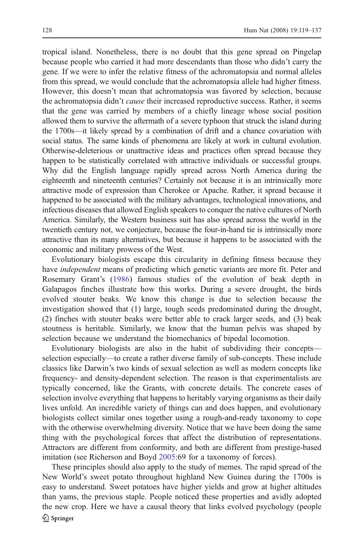tropical island. Nonetheless, there is no doubt that this gene spread on Pingelap because people who carried it had more descendants than those who didn't carry the gene. If we were to infer the relative fitness of the achromatopsia and normal alleles from this spread, we would conclude that the achromatopsia allele had higher fitness. However, this doesn't mean that achromatopsia was favored by selection, because the achromatopsia didn't *cause* their increased reproductive success. Rather, it seems that the gene was carried by members of a chiefly lineage whose social position allowed them to survive the aftermath of a severe typhoon that struck the island during the 1700s—it likely spread by a combination of drift and a chance covariation with social status. The same kinds of phenomena are likely at work in cultural evolution. Otherwise-deleterious or unattractive ideas and practices often spread because they happen to be statistically correlated with attractive individuals or successful groups. Why did the English language rapidly spread across North America during the eighteenth and nineteenth centuries? Certainly not because it is an intrinsically more attractive mode of expression than Cherokee or Apache. Rather, it spread because it happened to be associated with the military advantages, technological innovations, and infectious diseases that allowed English speakers to conquer the native cultures of North America. Similarly, the Western business suit has also spread across the world in the twentieth century not, we conjecture, because the four-in-hand tie is intrinsically more attractive than its many alternatives, but because it happens to be associated with the economic and military prowess of the West.

Evolutionary biologists escape this circularity in defining fitness because they have *independent* means of predicting which genetic variants are more fit. Peter and Rosemary Grant's [\(1986](#page-16-0)) famous studies of the evolution of beak depth in Galapagos finches illustrate how this works. During a severe drought, the birds evolved stouter beaks. We know this change is due to selection because the investigation showed that (1) large, tough seeds predominated during the drought, (2) finches with stouter beaks were better able to crack larger seeds, and (3) beak stoutness is heritable. Similarly, we know that the human pelvis was shaped by selection because we understand the biomechanics of bipedal locomotion.

Evolutionary biologists are also in the habit of subdividing their concepts selection especially—to create a rather diverse family of sub-concepts. These include classics like Darwin's two kinds of sexual selection as well as modern concepts like frequency- and density-dependent selection. The reason is that experimentalists are typically concerned, like the Grants, with concrete details. The concrete cases of selection involve everything that happens to heritably varying organisms as their daily lives unfold. An incredible variety of things can and does happen, and evolutionary biologists collect similar ones together using a rough-and-ready taxonomy to cope with the otherwise overwhelming diversity. Notice that we have been doing the same thing with the psychological forces that affect the distribution of representations. Attractors are different from conformity, and both are different from prestige-based imitation (see Richerson and Boyd [2005:](#page-17-0)69 for a taxonomy of forces).

These principles should also apply to the study of memes. The rapid spread of the New World's sweet potato throughout highland New Guinea during the 1700s is easy to understand. Sweet potatoes have higher yields and grow at higher altitudes than yams, the previous staple. People noticed these properties and avidly adopted the new crop. Here we have a causal theory that links evolved psychology (people  $\textcircled{2}$  Springer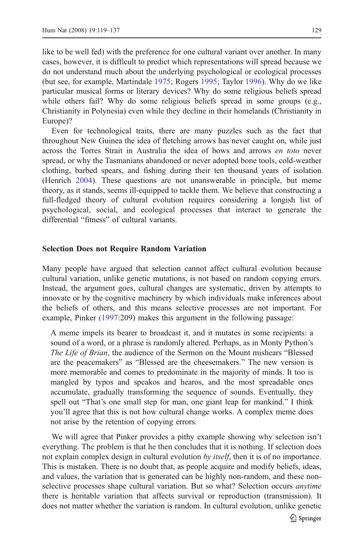like to be well fed) with the preference for one cultural variant over another. In many cases, however, it is difficult to predict which representations will spread because we do not understand much about the underlying psychological or ecological processes (but see, for example, Martindale [1975](#page-16-0); Rogers [1995](#page-17-0); Taylor [1996](#page-17-0)). Why do we like particular musical forms or literary devices? Why do some religious beliefs spread while others fail? Why do some religious beliefs spread in some groups (e.g., Christianity in Polynesia) even while they decline in their homelands (Christianity in Europe)?

Even for technological traits, there are many puzzles such as the fact that throughout New Guinea the idea of fletching arrows has never caught on, while just across the Torres Strait in Australia the idea of bows and arrows en toto never spread, or why the Tasmanians abandoned or never adopted bone tools, cold-weather clothing, barbed spears, and fishing during their ten thousand years of isolation (Henrich [2004](#page-16-0)). These questions are not unanswerable in principle, but meme theory, as it stands, seems ill-equipped to tackle them. We believe that constructing a full-fledged theory of cultural evolution requires considering a longish list of psychological, social, and ecological processes that interact to generate the differential "fitness" of cultural variants.

### Selection Does not Require Random Variation

Many people have argued that selection cannot affect cultural evolution because cultural variation, unlike genetic mutations, is not based on random copying errors. Instead, the argument goes, cultural changes are systematic, driven by attempts to innovate or by the cognitive machinery by which individuals make inferences about the beliefs of others, and this means selective processes are not important. For example, Pinker [\(1997:](#page-17-0)209) makes this argument in the following passage:

A meme impels its bearer to broadcast it, and it mutates in some recipients: a sound of a word, or a phrase is randomly altered. Perhaps, as in Monty Python's The Life of Brian, the audience of the Sermon on the Mount mishears "Blessed are the peacemakers" as "Blessed are the cheesemakers." The new version is more memorable and comes to predominate in the majority of minds. It too is mangled by typos and speakos and hearos, and the most spreadable ones accumulate, gradually transforming the sequence of sounds. Eventually, they spell out "That's one small step for man, one giant leap for mankind." I think you'll agree that this is not how cultural change works. A complex meme does not arise by the retention of copying errors.

We will agree that Pinker provides a pithy example showing why selection isn't everything. The problem is that he then concludes that it is nothing. If selection does not explain complex design in cultural evolution by *itself*, then it is of no importance. This is mistaken. There is no doubt that, as people acquire and modify beliefs, ideas, and values, the variation that is generated can be highly non-random, and these nonselective processes shape cultural variation. But so what? Selection occurs *anytime* there is heritable variation that affects survival or reproduction (transmission). It does not matter whether the variation is random. In cultural evolution, unlike genetic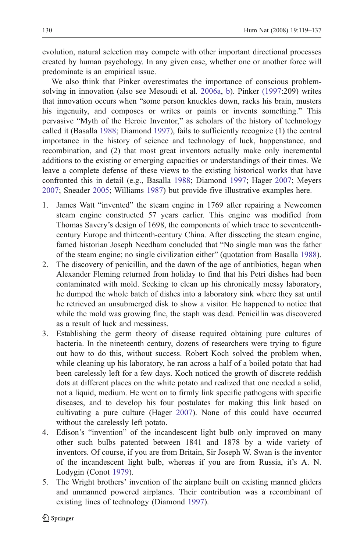evolution, natural selection may compete with other important directional processes created by human psychology. In any given case, whether one or another force will predominate is an empirical issue.

We also think that Pinker overestimates the importance of conscious problemsolving in innovation (also see Mesoudi et al. [2006a,](#page-17-0) [b\)](#page-17-0). Pinker [\(1997:](#page-17-0)209) writes that innovation occurs when "some person knuckles down, racks his brain, musters his ingenuity, and composes or writes or paints or invents something." This pervasive "Myth of the Heroic Inventor," as scholars of the history of technology called it (Basalla [1988](#page-15-0); Diamond [1997\)](#page-16-0), fails to sufficiently recognize (1) the central importance in the history of science and technology of luck, happenstance, and recombination, and (2) that most great inventors actually make only incremental additions to the existing or emerging capacities or understandings of their times. We leave a complete defense of these views to the existing historical works that have confronted this in detail (e.g., Basalla [1988](#page-15-0); Diamond [1997;](#page-16-0) Hager [2007](#page-16-0); Meyers [2007;](#page-17-0) Sneader [2005](#page-17-0); Williams [1987](#page-17-0)) but provide five illustrative examples here.

- 1. James Watt "invented" the steam engine in 1769 after repairing a Newcomen steam engine constructed 57 years earlier. This engine was modified from Thomas Savery's design of 1698, the components of which trace to seventeenthcentury Europe and thirteenth-century China. After dissecting the steam engine, famed historian Joseph Needham concluded that "No single man was the father of the steam engine; no single civilization either" (quotation from Basalla [1988\)](#page-15-0).
- 2. The discovery of penicillin, and the dawn of the age of antibiotics, began when Alexander Fleming returned from holiday to find that his Petri dishes had been contaminated with mold. Seeking to clean up his chronically messy laboratory, he dumped the whole batch of dishes into a laboratory sink where they sat until he retrieved an unsubmerged disk to show a visitor. He happened to notice that while the mold was growing fine, the staph was dead. Penicillin was discovered as a result of luck and messiness.
- 3. Establishing the germ theory of disease required obtaining pure cultures of bacteria. In the nineteenth century, dozens of researchers were trying to figure out how to do this, without success. Robert Koch solved the problem when, while cleaning up his laboratory, he ran across a half of a boiled potato that had been carelessly left for a few days. Koch noticed the growth of discrete reddish dots at different places on the white potato and realized that one needed a solid, not a liquid, medium. He went on to firmly link specific pathogens with specific diseases, and to develop his four postulates for making this link based on cultivating a pure culture (Hager [2007](#page-16-0)). None of this could have occurred without the carelessly left potato.
- 4. Edison's "invention" of the incandescent light bulb only improved on many other such bulbs patented between 1841 and 1878 by a wide variety of inventors. Of course, if you are from Britain, Sir Joseph W. Swan is the inventor of the incandescent light bulb, whereas if you are from Russia, it's A. N. Lodygin (Conot [1979\)](#page-16-0).
- 5. The Wright brothers' invention of the airplane built on existing manned gliders and unmanned powered airplanes. Their contribution was a recombinant of existing lines of technology (Diamond [1997\)](#page-16-0).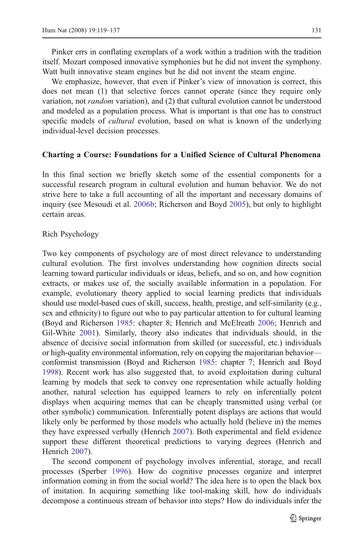Pinker errs in conflating exemplars of a work within a tradition with the tradition itself. Mozart composed innovative symphonies but he did not invent the symphony. Watt built innovative steam engines but he did not invent the steam engine.

We emphasize, however, that even if Pinker's view of innovation is correct, this does not mean (1) that selective forces cannot operate (since they require only variation, not *random* variation), and (2) that cultural evolution cannot be understood and modeled as a population process. What is important is that one has to construct specific models of *cultural* evolution, based on what is known of the underlying individual-level decision processes.

### Charting a Course: Foundations for a Unified Science of Cultural Phenomena

In this final section we briefly sketch some of the essential components for a successful research program in cultural evolution and human behavior. We do not strive here to take a full accounting of all the important and necessary domains of inquiry (see Mesoudi et al. [2006b](#page-17-0); Richerson and Boyd [2005](#page-17-0)), but only to highlight certain areas.

### Rich Psychology

Two key components of psychology are of most direct relevance to understanding cultural evolution. The first involves understanding how cognition directs social learning toward particular individuals or ideas, beliefs, and so on, and how cognition extracts, or makes use of, the socially available information in a population. For example, evolutionary theory applied to social learning predicts that individuals should use model-based cues of skill, success, health, prestige, and self-similarity (e.g., sex and ethnicity) to figure out who to pay particular attention to for cultural learning (Boyd and Richerson [1985](#page-15-0): chapter 8; Henrich and McElreath [2006](#page-16-0); Henrich and Gil-White [2001\)](#page-16-0). Similarly, theory also indicates that individuals should, in the absence of decisive social information from skilled (or successful, etc.) individuals or high-quality environmental information, rely on copying the majoritarian behavior conformist transmission (Boyd and Richerson [1985:](#page-15-0) chapter 7; Henrich and Boyd [1998\)](#page-16-0). Recent work has also suggested that, to avoid exploitation during cultural learning by models that seek to convey one representation while actually holding another, natural selection has equipped learners to rely on inferentially potent displays when acquiring memes that can be cheaply transmitted using verbal (or other symbolic) communication. Inferentially potent displays are actions that would likely only be performed by those models who actually hold (believe in) the memes they have expressed verbally (Henrich [2007\)](#page-16-0). Both experimental and field evidence support these different theoretical predictions to varying degrees (Henrich and Henrich [2007](#page-16-0)).

The second component of psychology involves inferential, storage, and recall processes (Sperber [1996\)](#page-17-0). How do cognitive processes organize and interpret information coming in from the social world? The idea here is to open the black box of imitation. In acquiring something like tool-making skill, how do individuals decompose a continuous stream of behavior into steps? How do individuals infer the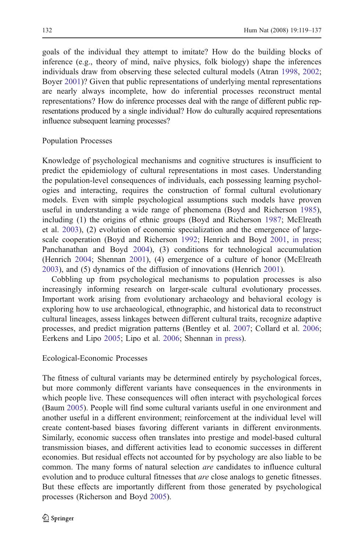goals of the individual they attempt to imitate? How do the building blocks of inference (e.g., theory of mind, naïve physics, folk biology) shape the inferences individuals draw from observing these selected cultural models (Atran [1998,](#page-15-0) [2002;](#page-15-0) Boyer [2001\)](#page-15-0)? Given that public representations of underlying mental representations are nearly always incomplete, how do inferential processes reconstruct mental representations? How do inference processes deal with the range of different public representations produced by a single individual? How do culturally acquired representations influence subsequent learning processes?

### Population Processes

Knowledge of psychological mechanisms and cognitive structures is insufficient to predict the epidemiology of cultural representations in most cases. Understanding the population-level consequences of individuals, each possessing learning psychologies and interacting, requires the construction of formal cultural evolutionary models. Even with simple psychological assumptions such models have proven useful in understanding a wide range of phenomena (Boyd and Richerson [1985\)](#page-15-0), including (1) the origins of ethnic groups (Boyd and Richerson [1987;](#page-15-0) McElreath et al. [2003](#page-17-0)), (2) evolution of economic specialization and the emergence of largescale cooperation (Boyd and Richerson [1992;](#page-15-0) Henrich and Boyd [2001](#page-16-0), [in press;](#page-16-0) Panchanathan and Boyd [2004\)](#page-17-0), (3) conditions for technological accumulation (Henrich [2004;](#page-16-0) Shennan [2001](#page-17-0)), (4) emergence of a culture of honor (McElreath [2003\)](#page-16-0), and (5) dynamics of the diffusion of innovations (Henrich [2001\)](#page-16-0).

Cobbling up from psychological mechanisms to population processes is also increasingly informing research on larger-scale cultural evolutionary processes. Important work arising from evolutionary archaeology and behavioral ecology is exploring how to use archaeological, ethnographic, and historical data to reconstruct cultural lineages, assess linkages between different cultural traits, recognize adaptive processes, and predict migration patterns (Bentley et al. [2007](#page-15-0); Collard et al. [2006;](#page-16-0) Eerkens and Lipo [2005;](#page-16-0) Lipo et al. [2006;](#page-16-0) Shennan [in press\)](#page-17-0).

### Ecological-Economic Processes

The fitness of cultural variants may be determined entirely by psychological forces, but more commonly different variants have consequences in the environments in which people live. These consequences will often interact with psychological forces (Baum [2005\)](#page-15-0). People will find some cultural variants useful in one environment and another useful in a different environment; reinforcement at the individual level will create content-based biases favoring different variants in different environments. Similarly, economic success often translates into prestige and model-based cultural transmission biases, and different activities lead to economic successes in different economies. But residual effects not accounted for by psychology are also liable to be common. The many forms of natural selection are candidates to influence cultural evolution and to produce cultural fitnesses that *are* close analogs to genetic fitnesses. But these effects are importantly different from those generated by psychological processes (Richerson and Boyd [2005](#page-17-0)).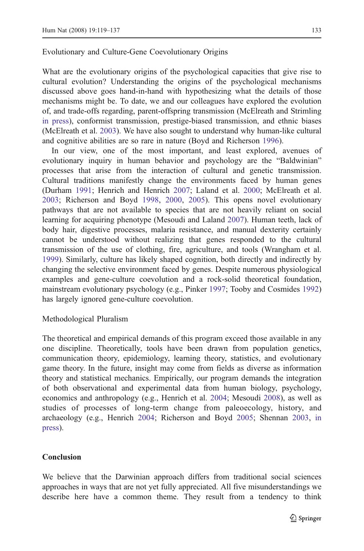### Evolutionary and Culture-Gene Coevolutionary Origins

What are the evolutionary origins of the psychological capacities that give rise to cultural evolution? Understanding the origins of the psychological mechanisms discussed above goes hand-in-hand with hypothesizing what the details of those mechanisms might be. To date, we and our colleagues have explored the evolution of, and trade-offs regarding, parent-offspring transmission (McElreath and Strimling [in press](#page-16-0)), conformist transmission, prestige-biased transmission, and ethnic biases (McElreath et al. [2003\)](#page-17-0). We have also sought to understand why human-like cultural and cognitive abilities are so rare in nature (Boyd and Richerson [1996](#page-15-0)).

In our view, one of the most important, and least explored, avenues of evolutionary inquiry in human behavior and psychology are the "Baldwinian" processes that arise from the interaction of cultural and genetic transmission. Cultural traditions manifestly change the environments faced by human genes (Durham [1991](#page-16-0); Henrich and Henrich [2007;](#page-16-0) Laland et al. [2000](#page-16-0); McElreath et al. [2003;](#page-17-0) Richerson and Boyd [1998,](#page-17-0) [2000,](#page-17-0) [2005\)](#page-17-0). This opens novel evolutionary pathways that are not available to species that are not heavily reliant on social learning for acquiring phenotype (Mesoudi and Laland [2007\)](#page-17-0). Human teeth, lack of body hair, digestive processes, malaria resistance, and manual dexterity certainly cannot be understood without realizing that genes responded to the cultural transmission of the use of clothing, fire, agriculture, and tools (Wrangham et al. [1999\)](#page-17-0). Similarly, culture has likely shaped cognition, both directly and indirectly by changing the selective environment faced by genes. Despite numerous physiological examples and gene-culture coevolution and a rock-solid theoretical foundation, mainstream evolutionary psychology (e.g., Pinker [1997;](#page-17-0) Tooby and Cosmides [1992](#page-17-0)) has largely ignored gene-culture coevolution.

### Methodological Pluralism

The theoretical and empirical demands of this program exceed those available in any one discipline. Theoretically, tools have been drawn from population genetics, communication theory, epidemiology, learning theory, statistics, and evolutionary game theory. In the future, insight may come from fields as diverse as information theory and statistical mechanics. Empirically, our program demands the integration of both observational and experimental data from human biology, psychology, economics and anthropology (e.g., Henrich et al. [2004](#page-16-0); Mesoudi [2008\)](#page-17-0), as well as studies of processes of long-term change from paleoecology, history, and archaeology (e.g., Henrich [2004;](#page-16-0) Richerson and Boyd [2005;](#page-17-0) Shennan [2003](#page-17-0), [in](#page-17-0) [press](#page-17-0)).

### Conclusion

We believe that the Darwinian approach differs from traditional social sciences approaches in ways that are not yet fully appreciated. All five misunderstandings we describe here have a common theme. They result from a tendency to think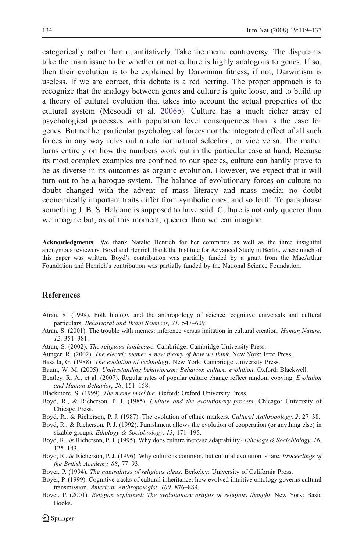<span id="page-15-0"></span>categorically rather than quantitatively. Take the meme controversy. The disputants take the main issue to be whether or not culture is highly analogous to genes. If so, then their evolution is to be explained by Darwinian fitness; if not, Darwinism is useless. If we are correct, this debate is a red herring. The proper approach is to recognize that the analogy between genes and culture is quite loose, and to build up a theory of cultural evolution that takes into account the actual properties of the cultural system (Mesoudi et al. [2006b\)](#page-17-0). Culture has a much richer array of psychological processes with population level consequences than is the case for genes. But neither particular psychological forces nor the integrated effect of all such forces in any way rules out a role for natural selection, or vice versa. The matter turns entirely on how the numbers work out in the particular case at hand. Because its most complex examples are confined to our species, culture can hardly prove to be as diverse in its outcomes as organic evolution. However, we expect that it will turn out to be a baroque system. The balance of evolutionary forces on culture no doubt changed with the advent of mass literacy and mass media; no doubt economically important traits differ from symbolic ones; and so forth. To paraphrase something J. B. S. Haldane is supposed to have said: Culture is not only queerer than we imagine but, as of this moment, queerer than we can imagine.

Acknowledgments We thank Natalie Henrich for her comments as well as the three insightful anonymous reviewers. Boyd and Henrich thank the Institute for Advanced Study in Berlin, where much of this paper was written. Boyd's contribution was partially funded by a grant from the MacArthur Foundation and Henrich's contribution was partially funded by the National Science Foundation.

### References

- Atran, S. (1998). Folk biology and the anthropology of science: cognitive universals and cultural particulars. Behavioral and Brain Sciences, 21, 547–609.
- Atran, S. (2001). The trouble with memes: inference versus imitation in cultural creation. *Human Nature*, 12, 351–381.
- Atran, S. (2002). The religious landscape. Cambridge: Cambridge University Press.
- Aunger, R. (2002). The electric meme: A new theory of how we think. New York: Free Press.
- Basalla, G. (1988). The evolution of technology. New York: Cambridge University Press.
- Baum, W. M. (2005). Understanding behaviorism: Behavior, culture, evolution. Oxford: Blackwell.
- Bentley, R. A., et al. (2007). Regular rates of popular culture change reflect random copying. Evolution and Human Behavior, 28, 151–158.
- Blackmore, S. (1999). The meme machine. Oxford: Oxford University Press.
- Boyd, R., & Richerson, P. J. (1985). Culture and the evolutionary process. Chicago: University of Chicago Press.
- Boyd, R., & Richerson, P. J. (1987). The evolution of ethnic markers. Cultural Anthropology, 2, 27–38.
- Boyd, R., & Richerson, P. J. (1992). Punishment allows the evolution of cooperation (or anything else) in sizable groups. Ethology & Sociobiology, 13, 171-195.
- Boyd, R., & Richerson, P. J. (1995). Why does culture increase adaptability? *Ethology* & *Sociobiology*, 16, 125–143.
- Boyd, R., & Richerson, P. J. (1996). Why culture is common, but cultural evolution is rare. *Proceedings of* the British Academy, 88, 77–93.
- Boyer, P. (1994). The naturalness of religious ideas. Berkeley: University of California Press.
- Boyer, P. (1999). Cognitive tracks of cultural inheritance: how evolved intuitive ontology governs cultural transmission. American Anthropologist, 100, 876–889.
- Boyer, P. (2001). Religion explained: The evolutionary origins of religious thought. New York: Basic Books.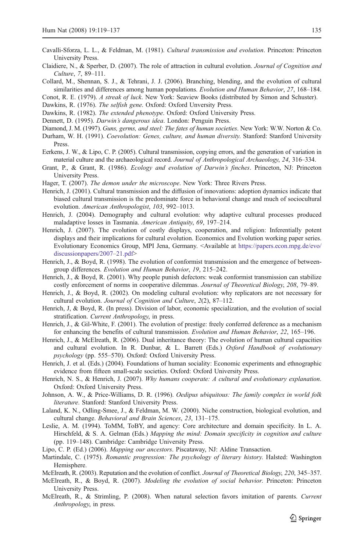- <span id="page-16-0"></span>Cavalli-Sforza, L. L., & Feldman, M. (1981). Cultural transmission and evolution. Princeton: Princeton University Press.
- Claidiere, N., & Sperber, D. (2007). The role of attraction in cultural evolution. Journal of Cognition and Culture, 7, 89–111.
- Collard, M., Shennan, S. J., & Tehrani, J. J. (2006). Branching, blending, and the evolution of cultural similarities and differences among human populations. Evolution and Human Behavior, 27, 168–184.
- Conot, R. E. (1979). A streak of luck. New York: Seaview Books (distributed by Simon and Schuster).
- Dawkins, R. (1976). The selfish gene. Oxford: Oxford Unversity Press.
- Dawkins, R. (1982). The extended phenotype. Oxford: Oxford University Press.
- Dennett, D. (1995). Darwin's dangerous idea. London: Penguin Press.
- Diamond, J. M. (1997). Guns, germs, and steel: The fates of human societies. New York: W.W. Norton & Co.
- Durham, W. H. (1991). Coevolution: Genes, culture, and human diversity. Stanford: Stanford University Press.
- Eerkens, J. W., & Lipo, C. P. (2005). Cultural transmission, copying errors, and the generation of variation in material culture and the archaeological record. Journal of Anthropological Archaeology, 24, 316–334.
- Grant, P., & Grant, R. (1986). Ecology and evolution of Darwin's finches. Princeton, NJ: Princeton University Press.
- Hager, T. (2007). The demon under the microscope. New York: Three Rivers Press.
- Henrich, J. (2001). Cultural transmission and the diffusion of innovations: adoption dynamics indicate that biased cultural transmission is the predominate force in behavioral change and much of sociocultural evolution. American Anthropologist, 103, 992–1013.
- Henrich, J. (2004). Demography and cultural evolution: why adaptive cultural processes produced maladaptive losses in Tasmania. American Antiquity, 69, 197–214.
- Henrich, J. (2007). The evolution of costly displays, cooperation, and religion: Inferentially potent displays and their implications for cultural evolution. Economics and Evolution working paper series. Evolutionary Economics Group, MPI Jena, Germany. <Available at [https://papers.econ.mpg.de/evo/](http://papers.econ.mpg.de/evo/discussionpapers/2007-21.pdf) [discussionpapers/2007](http://papers.econ.mpg.de/evo/discussionpapers/2007-21.pdf)–21.pdf>
- Henrich, J., & Boyd, R. (1998). The evolution of conformist transmission and the emergence of betweengroup differences. Evolution and Human Behavior, 19, 215–242.
- Henrich, J., & Boyd, R. (2001). Why people punish defectors: weak conformist transmission can stabilize costly enforcement of norms in cooperative dilemmas. Journal of Theoretical Biology, 208, 79–89.
- Henrich, J., & Boyd, R. (2002). On modeling cultural evolution: why replicators are not necessary for cultural evolution. Journal of Cognition and Culture, 2(2), 87–112.
- Henrich, J, & Boyd, R. (In press). Division of labor, economic specialization, and the evolution of social stratification. Current Anthropology, in press.
- Henrich, J., & Gil-White, F. (2001). The evolution of prestige: freely conferred deference as a mechanism for enhancing the benefits of cultural transmission. Evolution and Human Behavior, 22, 165–196.
- Henrich, J., & McElreath, R. (2006). Dual inheritance theory: The evolution of human cultural capacities and cultural evolution. In R. Dunbar, & L. Barrett (Eds.) Oxford Handbook of evolutionary psychology (pp. 555–570). Oxford: Oxford University Press.
- Henrich, J. et al. (Eds.) (2004). Foundations of human sociality: Economic experiments and ethnographic evidence from fifteen small-scale societies. Oxford: Oxford University Press.
- Henrich, N. S., & Henrich, J. (2007). Why humans cooperate: A cultural and evolutionary explanation. Oxford: Oxford University Press.
- Johnson, A. W., & Price-Williams, D. R. (1996). Oedipus ubiquitous: The family complex in world folk literature. Stanford: Stanford University Press.
- Laland, K. N., Odling-Smee, J., & Feldman, M. W. (2000). Niche construction, biological evolution, and cultural change. Behavioral and Brain Sciences, 23, 131–175.
- Leslie, A. M. (1994). ToMM, ToBY, and agency: Core architecture and domain specificity. In L. A. Hirschfeld, & S. A. Gelman (Eds.) Mapping the mind: Domain specificity in cognition and culture (pp. 119–148). Cambridge: Cambridge University Press.
- Lipo, C. P. (Ed.) (2006). Mapping our ancestors. Piscataway, NJ: Aldine Transaction.
- Martindale, C. (1975). Romantic progression: The psychology of literary history. Halsted: Washington Hemisphere.
- McElreath, R. (2003). Reputation and the evolution of conflict. Journal of Theoretical Biology, 220, 345–357.
- McElreath, R., & Boyd, R. (2007). *Modeling the evolution of social behavior*. Princeton: Princeton University Press.
- McElreath, R., & Strimling, P. (2008). When natural selection favors imitation of parents. Current Anthropology, in press.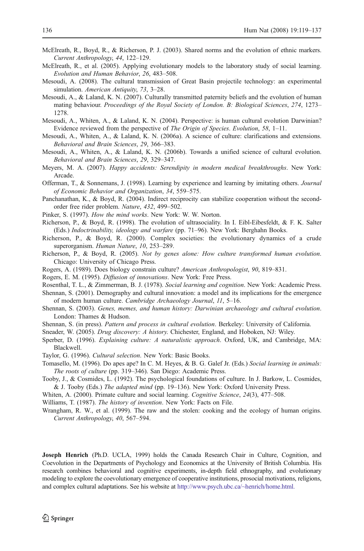- <span id="page-17-0"></span>McElreath, R., Boyd, R., & Richerson, P. J. (2003). Shared norms and the evolution of ethnic markers. Current Anthropology, 44, 122–129.
- McElreath, R., et al. (2005). Applying evolutionary models to the laboratory study of social learning. Evolution and Human Behavior, 26, 483–508.
- Mesoudi, A. (2008). The cultural transmission of Great Basin projectile technology: an experimental simulation. American Antiquity, 73, 3–28.
- Mesoudi, A., & Laland, K. N. (2007). Culturally transmitted paternity beliefs and the evolution of human mating behaviour. Proceedings of the Royal Society of London. B: Biological Sciences, 274, 1273– 1278.
- Mesoudi, A., Whiten, A., & Laland, K. N. (2004). Perspective: is human cultural evolution Darwinian? Evidence reviewed from the perspective of The Origin of Species. Evolution, 58, 1–11.
- Mesoudi, A., Whiten, A., & Laland, K. N. (2006a). A science of culture: clarifications and extensions. Behavioral and Brain Sciences, 29, 366–383.
- Mesoudi, A., Whiten, A., & Laland, K. N. (2006b). Towards a unified science of cultural evolution. Behavioral and Brain Sciences, 29, 329–347.
- Meyers, M. A. (2007). Happy accidents: Serendipity in modern medical breakthroughs. New York: Arcade.
- Offerman, T., & Sonnemans, J. (1998). Learning by experience and learning by imitating others. Journal of Economic Behavior and Organization, 34, 559–575.
- Panchanathan, K., & Boyd, R. (2004). Indirect reciprocity can stabilize cooperation without the secondorder free rider problem. Nature, 432, 499–502.
- Pinker, S. (1997). How the mind works. New York: W. W. Norton.
- Richerson, P., & Boyd, R. (1998). The evolution of ultrasociality. In I. Eibl-Eibesfeldt, & F. K. Salter (Eds.) Indoctrinability, ideology and warfare (pp. 71–96). New York: Berghahn Books.
- Richerson, P., & Boyd, R. (2000). Complex societies: the evolutionary dynamics of a crude superorganism. Human Nature, 10, 253–289.
- Richerson, P., & Boyd, R. (2005). Not by genes alone: How culture transformed human evolution. Chicago: University of Chicago Press.
- Rogers, A. (1989). Does biology constrain culture? American Anthropologist, 90, 819–831.
- Rogers, E. M. (1995). Diffusion of innovations. New York: Free Press.
- Rosenthal, T. L., & Zimmerman, B. J. (1978). Social learning and cognition. New York: Academic Press.
- Shennan, S. (2001). Demography and cultural innovation: a model and its implications for the emergence of modern human culture. Cambridge Archaeology Journal, 11, 5–16.
- Shennan, S. (2003). Genes, memes, and human history: Darwinian archaeology and cultural evolution. London: Thames & Hudson.
- Shennan, S. (in press). Pattern and process in cultural evolution. Berkeley: University of California.
- Sneader, W. (2005). Drug discovery: A history. Chichester, England, and Hoboken, NJ: Wiley.
- Sperber, D. (1996). Explaining culture: A naturalistic approach. Oxford, UK, and Cambridge, MA: Blackwell.
- Taylor, G. (1996). Cultural selection. New York: Basic Books.
- Tomasello, M. (1996). Do apes ape? In C. M. Heyes, & B. G. Galef Jr. (Eds.) Social learning in animals: The roots of culture (pp. 319–346). San Diego: Academic Press.
- Tooby, J., & Cosmides, L. (1992). The psychological foundations of culture. In J. Barkow, L. Cosmides, & J. Tooby (Eds.) The adapted mind (pp. 19–136). New York: Oxford University Press.
- Whiten, A. (2000). Primate culture and social learning. Cognitive Science, 24(3), 477–508.
- Williams, T. (1987). The history of invention. New York: Facts on File.
- Wrangham, R. W., et al. (1999). The raw and the stolen: cooking and the ecology of human origins. Current Anthropology, 40, 567–594.

Joseph Henrich (Ph.D. UCLA, 1999) holds the Canada Research Chair in Culture, Cognition, and Coevolution in the Departments of Psychology and Economics at the University of British Columbia. His research combines behavioral and cognitive experiments, in-depth field ethnography, and evolutionary modeling to explore the coevolutionary emergence of cooperative institutions, prosocial motivations, religions, and complex cultural adaptations. See his website at <http://www.psych.ubc.ca/~henrich/home.html.>